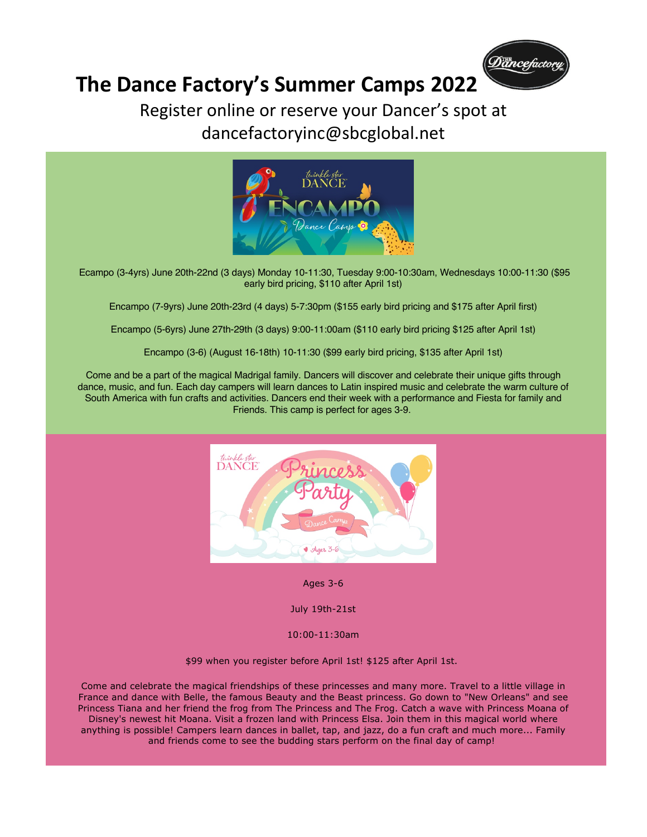

# **The Dance Factory's Summer Camps 2022**

#### Register online or reserve your Dancer's spot at dancefactoryinc@sbcglobal.net



Ecampo (3-4yrs) June 20th-22nd (3 days) Monday 10-11:30, Tuesday 9:00-10:30am, Wednesdays 10:00-11:30 (\$95 early bird pricing, \$110 after April 1st)

Encampo (7-9yrs) June 20th-23rd (4 days) 5-7:30pm (\$155 early bird pricing and \$175 after April first)

Encampo (5-6yrs) June 27th-29th (3 days) 9:00-11:00am (\$110 early bird pricing \$125 after April 1st)

Encampo (3-6) (August 16-18th) 10-11:30 (\$99 early bird pricing, \$135 after April 1st)

Come and be a part of the magical Madrigal family. Dancers will discover and celebrate their unique gifts through dance, music, and fun. Each day campers will learn dances to Latin inspired music and celebrate the warm culture of South America with fun crafts and activities. Dancers end their week with a performance and Fiesta for family and Friends. This camp is perfect for ages 3-9.



Ages 3-6

July 19th-21st

10:00-11:30am

\$99 when you register before April 1st! \$125 after April 1st.

Come and celebrate the magical friendships of these princesses and many more. Travel to a little village in France and dance with Belle, the famous Beauty and the Beast princess. Go down to "New Orleans" and see Princess Tiana and her friend the frog from The Princess and The Frog. Catch a wave with Princess Moana of Disney's newest hit Moana. Visit a frozen land with Princess Elsa. Join them in this magical world where anything is possible! Campers learn dances in ballet, tap, and jazz, do a fun craft and much more... Family and friends come to see the budding stars perform on the final day of camp!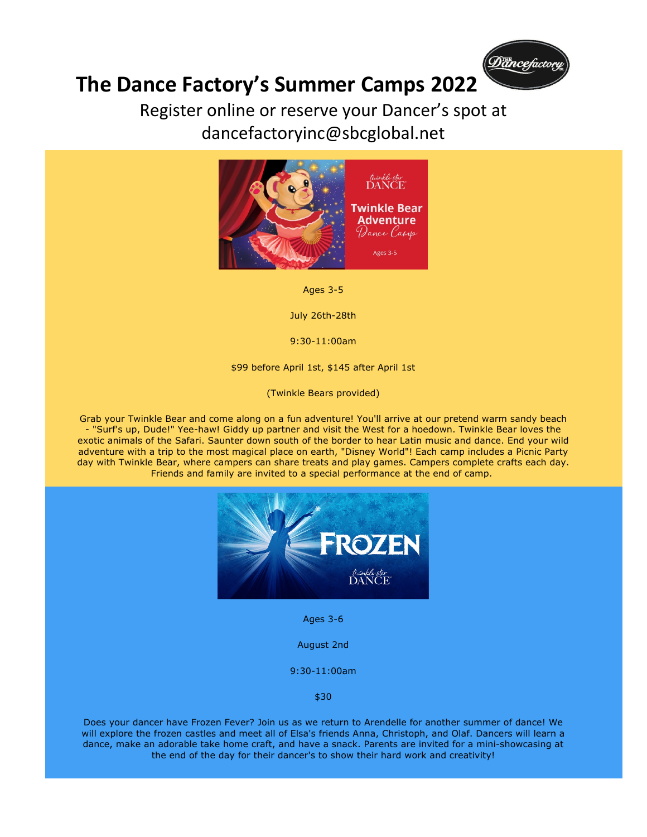

## **The Dance Factory's Summer Camps 2022**

#### Register online or reserve your Dancer's spot at dancefactoryinc@sbcglobal.net



Ages 3-5

July 26th-28th

9:30-11:00am

\$99 before April 1st, \$145 after April 1st

(Twinkle Bears provided)

Grab your Twinkle Bear and come along on a fun adventure! You'll arrive at our pretend warm sandy beach - "Surf's up, Dude!" Yee-haw! Giddy up partner and visit the West for a hoedown. Twinkle Bear loves the exotic animals of the Safari. Saunter down south of the border to hear Latin music and dance. End your wild adventure with a trip to the most magical place on earth, "Disney World"! Each camp includes a Picnic Party day with Twinkle Bear, where campers can share treats and play games. Campers complete crafts each day. Friends and family are invited to a special performance at the end of camp.



Ages 3-6

August 2nd

9:30-11:00am

\$30

Does your dancer have Frozen Fever? Join us as we return to Arendelle for another summer of dance! We will explore the frozen castles and meet all of Elsa's friends Anna, Christoph, and Olaf. Dancers will learn a dance, make an adorable take home craft, and have a snack. Parents are invited for a mini-showcasing at the end of the day for their dancer's to show their hard work and creativity!